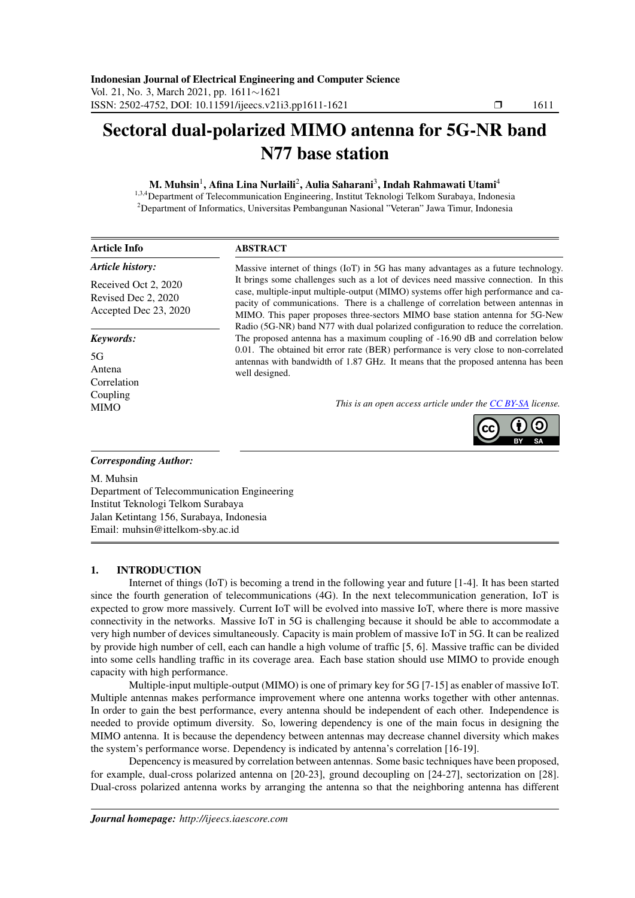# Sectoral dual-polarized MIMO antenna for 5G-NR band N77 base station

M. Muhsin<sup>1</sup>, Afina Lina Nurlaili<sup>2</sup>, Aulia Saharani<sup>3</sup>, Indah Rahmawati Utami<sup>4</sup>

<sup>1,3,4</sup>Department of Telecommunication Engineering, Institut Teknologi Telkom Surabaya, Indonesia <sup>2</sup>Department of Informatics, Universitas Pembangunan Nasional "Veteran" Jawa Timur, Indonesia

| <b>Article Info</b>                                                  | <b>ABSTRACT</b>                                                                                                                                                                                                                                                                                                                                                                                                                       |  |  |  |
|----------------------------------------------------------------------|---------------------------------------------------------------------------------------------------------------------------------------------------------------------------------------------------------------------------------------------------------------------------------------------------------------------------------------------------------------------------------------------------------------------------------------|--|--|--|
| <b>Article history:</b>                                              | Massive internet of things (IoT) in 5G has many advantages as a future technology.                                                                                                                                                                                                                                                                                                                                                    |  |  |  |
| Received Oct 2, 2020<br>Revised Dec 2, 2020<br>Accepted Dec 23, 2020 | It brings some challenges such as a lot of devices need massive connection. In this<br>case, multiple-input multiple-output (MIMO) systems offer high performance and ca-<br>pacity of communications. There is a challenge of correlation between antennas in<br>MIMO. This paper proposes three-sectors MIMO base station antenna for 5G-New<br>Radio (5G-NR) band N77 with dual polarized configuration to reduce the correlation. |  |  |  |
| Keywords:                                                            | The proposed antenna has a maximum coupling of -16.90 dB and correlation below                                                                                                                                                                                                                                                                                                                                                        |  |  |  |
| 5G<br>Antena<br>Correlation                                          | 0.01. The obtained bit error rate (BER) performance is very close to non-correlated<br>antennas with bandwidth of 1.87 GHz. It means that the proposed antenna has been<br>well designed.                                                                                                                                                                                                                                             |  |  |  |
| Coupling<br><b>MIMO</b>                                              | This is an open access article under the CC BY-SA license.                                                                                                                                                                                                                                                                                                                                                                            |  |  |  |
| <b>Corresponding Author:</b>                                         |                                                                                                                                                                                                                                                                                                                                                                                                                                       |  |  |  |

M. Muhsin Department of Telecommunication Engineering Institut Teknologi Telkom Surabaya Jalan Ketintang 156, Surabaya, Indonesia Email: muhsin@ittelkom-sby.ac.id

# 1. INTRODUCTION

Internet of things (IoT) is becoming a trend in the following year and future [1-4]. It has been started since the fourth generation of telecommunications (4G). In the next telecommunication generation, IoT is expected to grow more massively. Current IoT will be evolved into massive IoT, where there is more massive connectivity in the networks. Massive IoT in 5G is challenging because it should be able to accommodate a very high number of devices simultaneously. Capacity is main problem of massive IoT in 5G. It can be realized by provide high number of cell, each can handle a high volume of traffic [5, 6]. Massive traffic can be divided into some cells handling traffic in its coverage area. Each base station should use MIMO to provide enough capacity with high performance.

Multiple-input multiple-output (MIMO) is one of primary key for 5G [7-15] as enabler of massive IoT. Multiple antennas makes performance improvement where one antenna works together with other antennas. In order to gain the best performance, every antenna should be independent of each other. Independence is needed to provide optimum diversity. So, lowering dependency is one of the main focus in designing the MIMO antenna. It is because the dependency between antennas may decrease channel diversity which makes the system's performance worse. Dependency is indicated by antenna's correlation [16-19].

Depencency is measured by correlation between antennas. Some basic techniques have been proposed, for example, dual-cross polarized antenna on [20-23], ground decoupling on [24-27], sectorization on [28]. Dual-cross polarized antenna works by arranging the antenna so that the neighboring antenna has different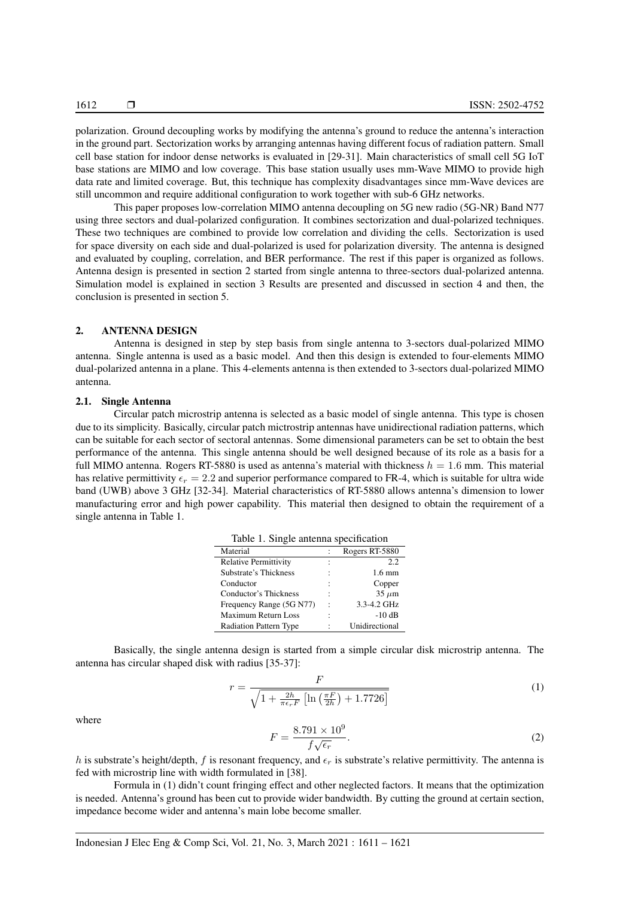polarization. Ground decoupling works by modifying the antenna's ground to reduce the antenna's interaction in the ground part. Sectorization works by arranging antennas having different focus of radiation pattern. Small cell base station for indoor dense networks is evaluated in [29-31]. Main characteristics of small cell 5G IoT base stations are MIMO and low coverage. This base station usually uses mm-Wave MIMO to provide high data rate and limited coverage. But, this technique has complexity disadvantages since mm-Wave devices are still uncommon and require additional configuration to work together with sub-6 GHz networks.

This paper proposes low-correlation MIMO antenna decoupling on 5G new radio (5G-NR) Band N77 using three sectors and dual-polarized configuration. It combines sectorization and dual-polarized techniques. These two techniques are combined to provide low correlation and dividing the cells. Sectorization is used for space diversity on each side and dual-polarized is used for polarization diversity. The antenna is designed and evaluated by coupling, correlation, and BER performance. The rest if this paper is organized as follows. Antenna design is presented in section 2 started from single antenna to three-sectors dual-polarized antenna. Simulation model is explained in section 3 Results are presented and discussed in section 4 and then, the conclusion is presented in section 5.

#### 2. ANTENNA DESIGN

Antenna is designed in step by step basis from single antenna to 3-sectors dual-polarized MIMO antenna. Single antenna is used as a basic model. And then this design is extended to four-elements MIMO dual-polarized antenna in a plane. This 4-elements antenna is then extended to 3-sectors dual-polarized MIMO antenna.

## 2.1. Single Antenna

Circular patch microstrip antenna is selected as a basic model of single antenna. This type is chosen due to its simplicity. Basically, circular patch mictrostrip antennas have unidirectional radiation patterns, which can be suitable for each sector of sectoral antennas. Some dimensional parameters can be set to obtain the best performance of the antenna. This single antenna should be well designed because of its role as a basis for a full MIMO antenna. Rogers RT-5880 is used as antenna's material with thickness  $h = 1.6$  mm. This material has relative permittivity  $\epsilon_r = 2.2$  and superior performance compared to FR-4, which is suitable for ultra wide band (UWB) above 3 GHz [32-34]. Material characteristics of RT-5880 allows antenna's dimension to lower manufacturing error and high power capability. This material then designed to obtain the requirement of a single antenna in Table 1.

|  | Table 1. Single antenna specification |
|--|---------------------------------------|
|  |                                       |

| Material                      |                      | Rogers RT-5880   |
|-------------------------------|----------------------|------------------|
| <b>Relative Permittivity</b>  |                      | 2.2              |
| Substrate's Thickness         |                      | $1.6 \text{ mm}$ |
| Conductor                     | ٠                    | Copper           |
| Conductor's Thickness         |                      | $35 \mu m$       |
| Frequency Range (5G N77)      | $\ddot{\phantom{0}}$ | 3.3-4.2 GHz      |
| <b>Maximum Return Loss</b>    | ٠                    | $-10$ dB         |
| <b>Radiation Pattern Type</b> |                      | Unidirectional   |

Basically, the single antenna design is started from a simple circular disk microstrip antenna. The antenna has circular shaped disk with radius [35-37]:

$$
r = \frac{F}{\sqrt{1 + \frac{2h}{\pi\epsilon_r F} \left[ \ln\left(\frac{\pi F}{2h}\right) + 1.7726 \right]}}
$$
(1)

where

$$
F = \frac{8.791 \times 10^9}{f\sqrt{\epsilon_r}}.\tag{2}
$$

h is substrate's height/depth, f is resonant frequency, and  $\epsilon_r$  is substrate's relative permittivity. The antenna is fed with microstrip line with width formulated in [38].

Formula in (1) didn't count fringing effect and other neglected factors. It means that the optimization is needed. Antenna's ground has been cut to provide wider bandwidth. By cutting the ground at certain section, impedance become wider and antenna's main lobe become smaller.

Indonesian J Elec Eng & Comp Sci, Vol. 21, No. 3, March 2021 : 1611 – 1621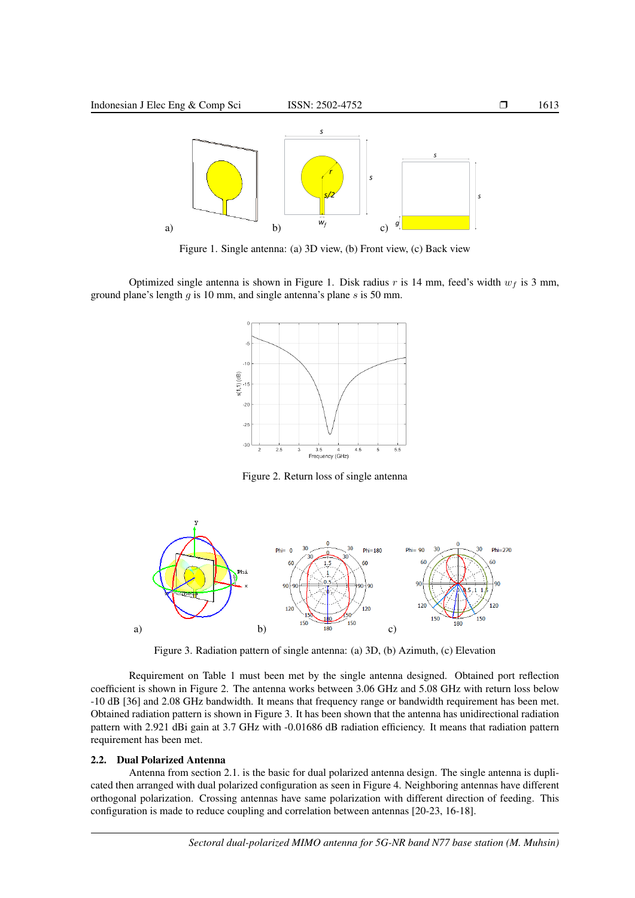

Figure 1. Single antenna: (a) 3D view, (b) Front view, (c) Back view

Optimized single antenna is shown in Figure 1. Disk radius r is 14 mm, feed's width  $w_f$  is 3 mm, ground plane's length  $q$  is 10 mm, and single antenna's plane  $s$  is 50 mm.



Figure 2. Return loss of single antenna



Figure 3. Radiation pattern of single antenna: (a) 3D, (b) Azimuth, (c) Elevation

Requirement on Table 1 must been met by the single antenna designed. Obtained port reflection coefficient is shown in Figure 2. The antenna works between 3.06 GHz and 5.08 GHz with return loss below -10 dB [36] and 2.08 GHz bandwidth. It means that frequency range or bandwidth requirement has been met. Obtained radiation pattern is shown in Figure 3. It has been shown that the antenna has unidirectional radiation pattern with 2.921 dBi gain at 3.7 GHz with -0.01686 dB radiation efficiency. It means that radiation pattern requirement has been met.

# 2.2. Dual Polarized Antenna

Antenna from section 2.1. is the basic for dual polarized antenna design. The single antenna is duplicated then arranged with dual polarized configuration as seen in Figure 4. Neighboring antennas have different orthogonal polarization. Crossing antennas have same polarization with different direction of feeding. This configuration is made to reduce coupling and correlation between antennas [20-23, 16-18].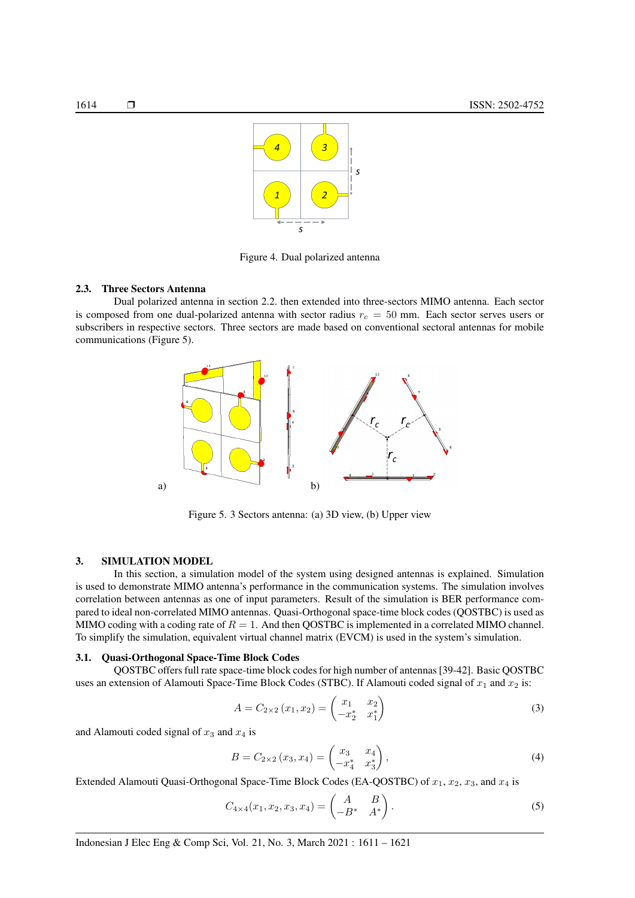



Figure 4. Dual polarized antenna

#### 2.3. Three Sectors Antenna

Dual polarized antenna in section 2.2. then extended into three-sectors MIMO antenna. Each sector is composed from one dual-polarized antenna with sector radius  $r_c = 50$  mm. Each sector serves users or subscribers in respective sectors. Three sectors are made based on conventional sectoral antennas for mobile communications (Figure 5).



Figure 5. 3 Sectors antenna: (a) 3D view, (b) Upper view

## 3. SIMULATION MODEL

In this section, a simulation model of the system using designed antennas is explained. Simulation is used to demonstrate MIMO antenna's performance in the communication systems. The simulation involves correlation between antennas as one of input parameters. Result of the simulation is BER performance compared to ideal non-correlated MIMO antennas. Quasi-Orthogonal space-time block codes (QOSTBC) is used as MIMO coding with a coding rate of  $R = 1$ . And then QOSTBC is implemented in a correlated MIMO channel. To simplify the simulation, equivalent virtual channel matrix (EVCM) is used in the system's simulation.

### 3.1. Quasi-Orthogonal Space-Time Block Codes

QOSTBC offers full rate space-time block codes for high number of antennas [39-42]. Basic QOSTBC uses an extension of Alamouti Space-Time Block Codes (STBC). If Alamouti coded signal of  $x_1$  and  $x_2$  is:

$$
A = C_{2 \times 2} (x_1, x_2) = \begin{pmatrix} x_1 & x_2 \\ -x_2^* & x_1^* \end{pmatrix}
$$
 (3)

and Alamouti coded signal of  $x_3$  and  $x_4$  is

$$
B = C_{2 \times 2} (x_3, x_4) = \begin{pmatrix} x_3 & x_4 \\ -x_4^* & x_3^* \end{pmatrix},
$$
 (4)

Extended Alamouti Quasi-Orthogonal Space-Time Block Codes (EA-QOSTBC) of  $x_1, x_2, x_3$ , and  $x_4$  is

$$
C_{4\times 4}(x_1, x_2, x_3, x_4) = \begin{pmatrix} A & B \\ -B^* & A^* \end{pmatrix}.
$$
 (5)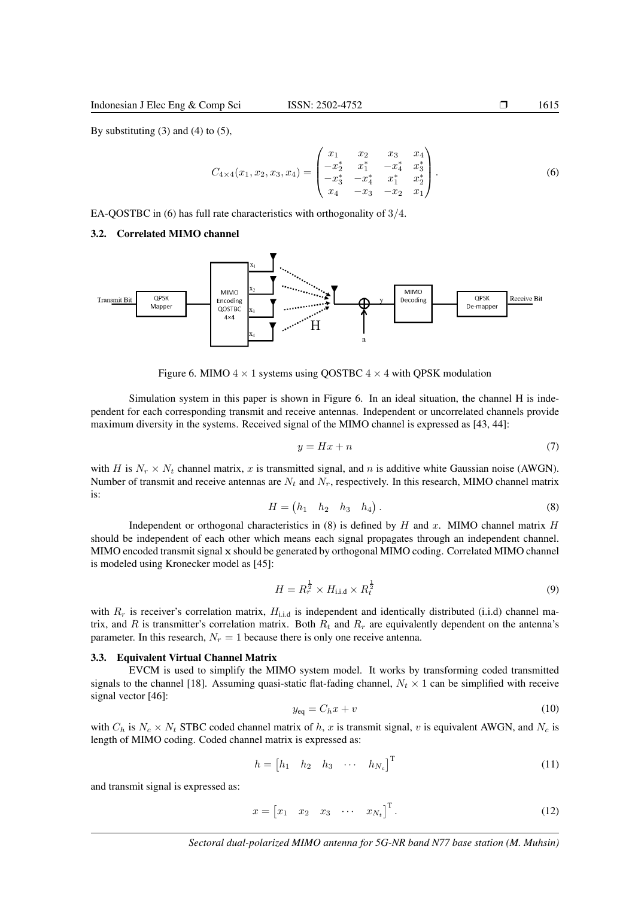$$
C_{4\times4}(x_1, x_2, x_3, x_4) = \begin{pmatrix} x_1 & x_2 & x_3 & x_4 \\ -x_2^* & x_1^* & -x_4^* & x_3^* \\ -x_3^* & -x_4^* & x_1^* & x_2^* \\ x_4 & -x_3 & -x_2 & x_1 \end{pmatrix}.
$$
 (6)

EA-QOSTBC in (6) has full rate characteristics with orthogonality of 3/4.

#### 3.2. Correlated MIMO channel



Figure 6. MIMO  $4 \times 1$  systems using QOSTBC  $4 \times 4$  with QPSK modulation

Simulation system in this paper is shown in Figure 6. In an ideal situation, the channel H is independent for each corresponding transmit and receive antennas. Independent or uncorrelated channels provide maximum diversity in the systems. Received signal of the MIMO channel is expressed as [43, 44]:

$$
y = Hx + n \tag{7}
$$

with H is  $N_r \times N_t$  channel matrix, x is transmitted signal, and n is additive white Gaussian noise (AWGN). Number of transmit and receive antennas are  $N_t$  and  $N_r$ , respectively. In this research, MIMO channel matrix is:

$$
H = \begin{pmatrix} h_1 & h_2 & h_3 & h_4 \end{pmatrix} . \tag{8}
$$

Independent or orthogonal characteristics in  $(8)$  is defined by H and x. MIMO channel matrix H should be independent of each other which means each signal propagates through an independent channel. MIMO encoded transmit signal x should be generated by orthogonal MIMO coding. Correlated MIMO channel is modeled using Kronecker model as [45]:

$$
H = R_r^{\frac{1}{2}} \times H_{\text{i.i.d}} \times R_t^{\frac{1}{2}}
$$
\n
$$
(9)
$$

with  $R_r$  is receiver's correlation matrix,  $H_{i.i.d}$  is independent and identically distributed (i.i.d) channel matrix, and R is transmitter's correlation matrix. Both  $R_t$  and  $R_r$  are equivalently dependent on the antenna's parameter. In this research,  $N_r = 1$  because there is only one receive antenna.

#### 3.3. Equivalent Virtual Channel Matrix

EVCM is used to simplify the MIMO system model. It works by transforming coded transmitted signals to the channel [18]. Assuming quasi-static flat-fading channel,  $N_t \times 1$  can be simplified with receive signal vector [46]:

$$
y_{\text{eq}} = C_h x + v \tag{10}
$$

with  $C_h$  is  $N_c \times N_t$  STBC coded channel matrix of h, x is transmit signal, v is equivalent AWGN, and  $N_c$  is length of MIMO coding. Coded channel matrix is expressed as:

$$
h = \begin{bmatrix} h_1 & h_2 & h_3 & \cdots & h_{N_c} \end{bmatrix}^{\mathrm{T}}
$$
 (11)

and transmit signal is expressed as:

$$
x = \begin{bmatrix} x_1 & x_2 & x_3 & \cdots & x_{N_t} \end{bmatrix}^\mathrm{T} . \tag{12}
$$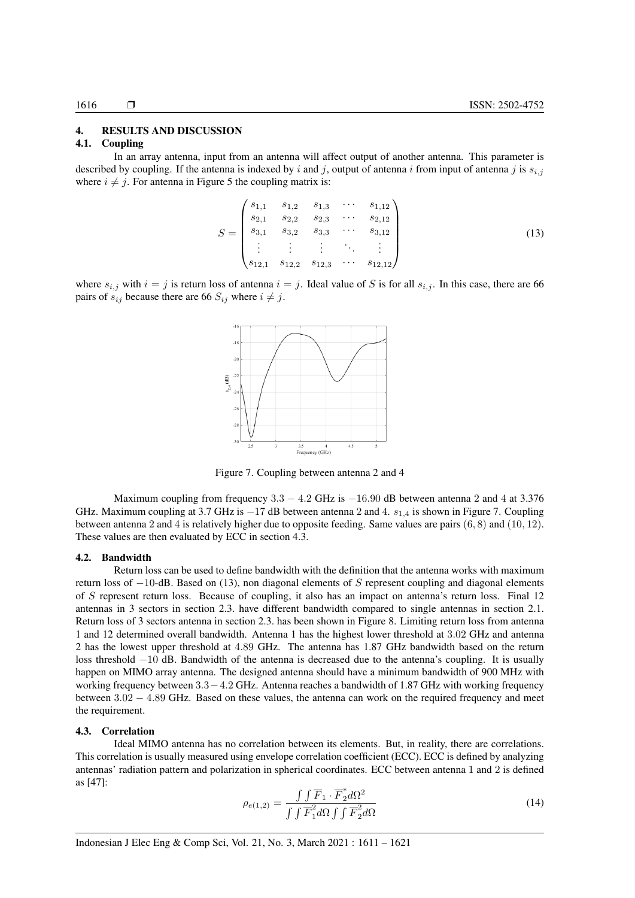#### 4. RESULTS AND DISCUSSION

#### 4.1. Coupling

In an array antenna, input from an antenna will affect output of another antenna. This parameter is described by coupling. If the antenna is indexed by i and j, output of antenna i from input of antenna j is  $s_{i,j}$ where  $i \neq j$ . For antenna in Figure 5 the coupling matrix is:

$$
S = \begin{pmatrix} s_{1,1} & s_{1,2} & s_{1,3} & \cdots & s_{1,12} \\ s_{2,1} & s_{2,2} & s_{2,3} & \cdots & s_{2,12} \\ s_{3,1} & s_{3,2} & s_{3,3} & \cdots & s_{3,12} \\ \vdots & \vdots & \vdots & \ddots & \vdots \\ s_{12,1} & s_{12,2} & s_{12,3} & \cdots & s_{12,12} \end{pmatrix}
$$
 (13)

where  $s_{i,j}$  with  $i = j$  is return loss of antenna  $i = j$ . Ideal value of S is for all  $s_{i,j}$ . In this case, there are 66 pairs of  $s_{ij}$  because there are 66  $S_{ij}$  where  $i \neq j$ .



Figure 7. Coupling between antenna 2 and 4

Maximum coupling from frequency  $3.3 - 4.2$  GHz is  $-16.90$  dB between antenna 2 and 4 at 3.376 GHz. Maximum coupling at 3.7 GHz is  $-17$  dB between antenna 2 and 4.  $s_{1,4}$  is shown in Figure 7. Coupling between antenna 2 and 4 is relatively higher due to opposite feeding. Same values are pairs (6, 8) and (10, 12). These values are then evaluated by ECC in section 4.3.

#### 4.2. Bandwidth

Return loss can be used to define bandwidth with the definition that the antenna works with maximum return loss of −10-dB. Based on (13), non diagonal elements of S represent coupling and diagonal elements of S represent return loss. Because of coupling, it also has an impact on antenna's return loss. Final 12 antennas in 3 sectors in section 2.3. have different bandwidth compared to single antennas in section 2.1. Return loss of 3 sectors antenna in section 2.3. has been shown in Figure 8. Limiting return loss from antenna 1 and 12 determined overall bandwidth. Antenna 1 has the highest lower threshold at 3.02 GHz and antenna 2 has the lowest upper threshold at 4.89 GHz. The antenna has 1.87 GHz bandwidth based on the return loss threshold −10 dB. Bandwidth of the antenna is decreased due to the antenna's coupling. It is usually happen on MIMO array antenna. The designed antenna should have a minimum bandwidth of 900 MHz with working frequency between 3.3−4.2 GHz. Antenna reaches a bandwidth of 1.87 GHz with working frequency between 3.02 − 4.89 GHz. Based on these values, the antenna can work on the required frequency and meet the requirement.

#### 4.3. Correlation

Ideal MIMO antenna has no correlation between its elements. But, in reality, there are correlations. This correlation is usually measured using envelope correlation coefficient (ECC). ECC is defined by analyzing antennas' radiation pattern and polarization in spherical coordinates. ECC between antenna 1 and 2 is defined as [47]:

$$
\rho_{e(1,2)} = \frac{\int \int \overline{F}_1 \cdot \overline{F}_2^* d\Omega^2}{\int \int \overline{F}_1^2 d\Omega \int \int \overline{F}_2^2 d\Omega}
$$
\n(14)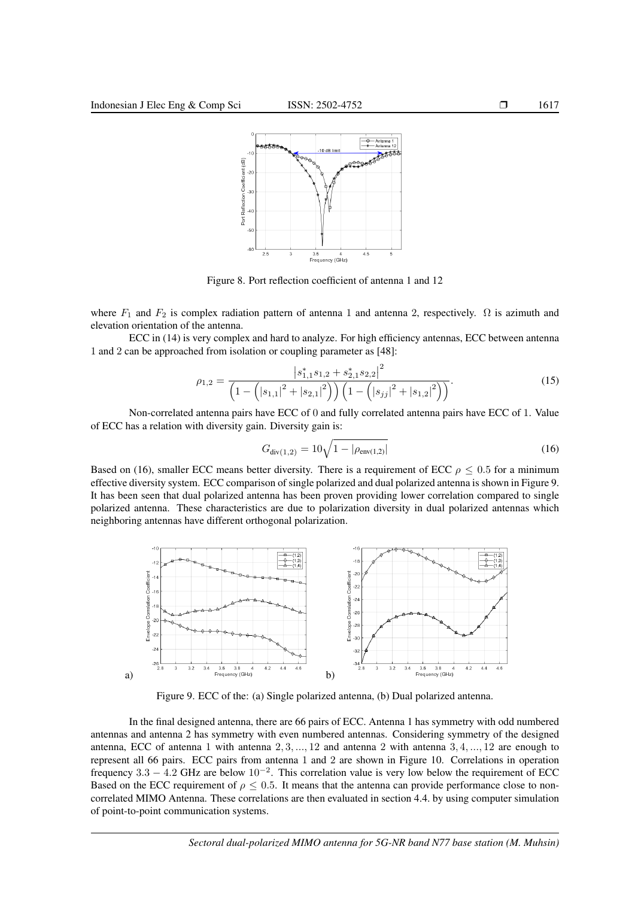

Figure 8. Port reflection coefficient of antenna 1 and 12

where  $F_1$  and  $F_2$  is complex radiation pattern of antenna 1 and antenna 2, respectively.  $\Omega$  is azimuth and elevation orientation of the antenna.

ECC in (14) is very complex and hard to analyze. For high efficiency antennas, ECC between antenna 1 and 2 can be approached from isolation or coupling parameter as [48]:

$$
\rho_{1,2} = \frac{\left| s_{1,1}^* s_{1,2} + s_{2,1}^* s_{2,2} \right|^2}{\left( 1 - \left( \left| s_{1,1} \right|^2 + \left| s_{2,1} \right|^2 \right) \right) \left( 1 - \left( \left| s_{jj} \right|^2 + \left| s_{1,2} \right|^2 \right) \right)}.
$$
\n(15)

Non-correlated antenna pairs have ECC of 0 and fully correlated antenna pairs have ECC of 1. Value of ECC has a relation with diversity gain. Diversity gain is:

$$
G_{\text{div}(1,2)} = 10\sqrt{1 - |\rho_{\text{env}(1,2)}|} \tag{16}
$$

Based on (16), smaller ECC means better diversity. There is a requirement of ECC  $\rho \leq 0.5$  for a minimum effective diversity system. ECC comparison of single polarized and dual polarized antenna is shown in Figure 9. It has been seen that dual polarized antenna has been proven providing lower correlation compared to single polarized antenna. These characteristics are due to polarization diversity in dual polarized antennas which neighboring antennas have different orthogonal polarization.



Figure 9. ECC of the: (a) Single polarized antenna, (b) Dual polarized antenna.

In the final designed antenna, there are 66 pairs of ECC. Antenna 1 has symmetry with odd numbered antennas and antenna 2 has symmetry with even numbered antennas. Considering symmetry of the designed antenna, ECC of antenna 1 with antenna  $2, 3, ..., 12$  and antenna 2 with antenna  $3, 4, ..., 12$  are enough to represent all 66 pairs. ECC pairs from antenna 1 and 2 are shown in Figure 10. Correlations in operation frequency  $3.3 - 4.2$  GHz are below  $10^{-2}$ . This correlation value is very low below the requirement of ECC Based on the ECC requirement of  $\rho \leq 0.5$ . It means that the antenna can provide performance close to noncorrelated MIMO Antenna. These correlations are then evaluated in section 4.4. by using computer simulation of point-to-point communication systems.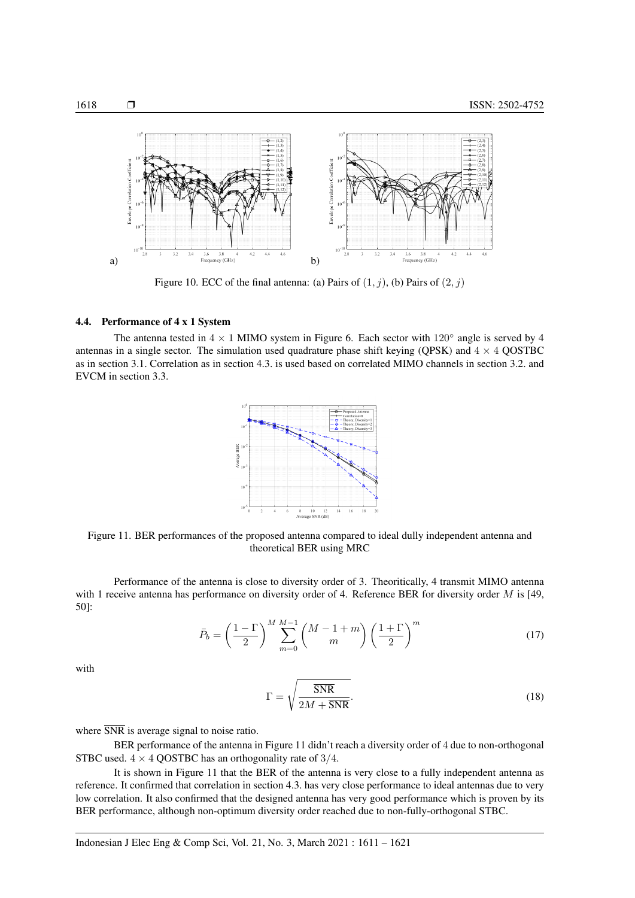

Figure 10. ECC of the final antenna: (a) Pairs of  $(1, j)$ , (b) Pairs of  $(2, j)$ 

## 4.4. Performance of 4 x 1 System

The antenna tested in  $4 \times 1$  MIMO system in Figure 6. Each sector with  $120^\circ$  angle is served by 4 antennas in a single sector. The simulation used quadrature phase shift keying (QPSK) and  $4 \times 4$  QOSTBC as in section 3.1. Correlation as in section 4.3. is used based on correlated MIMO channels in section 3.2. and EVCM in section 3.3.



Figure 11. BER performances of the proposed antenna compared to ideal dully independent antenna and theoretical BER using MRC

Performance of the antenna is close to diversity order of 3. Theoritically, 4 transmit MIMO antenna with 1 receive antenna has performance on diversity order of 4. Reference BER for diversity order  $M$  is [49, 50]:

$$
\bar{P}_b = \left(\frac{1-\Gamma}{2}\right)^M \sum_{m=0}^{M-1} \binom{M-1+m}{m} \left(\frac{1+\Gamma}{2}\right)^m \tag{17}
$$

with

$$
\Gamma = \sqrt{\frac{\overline{\text{SNR}}}{2M + \overline{\text{SNR}}}}.\tag{18}
$$

where  $\overline{\text{SNR}}$  is average signal to noise ratio.

BER performance of the antenna in Figure 11 didn't reach a diversity order of 4 due to non-orthogonal STBC used.  $4 \times 4$  QOSTBC has an orthogonality rate of 3/4.

It is shown in Figure 11 that the BER of the antenna is very close to a fully independent antenna as reference. It confirmed that correlation in section 4.3. has very close performance to ideal antennas due to very low correlation. It also confirmed that the designed antenna has very good performance which is proven by its BER performance, although non-optimum diversity order reached due to non-fully-orthogonal STBC.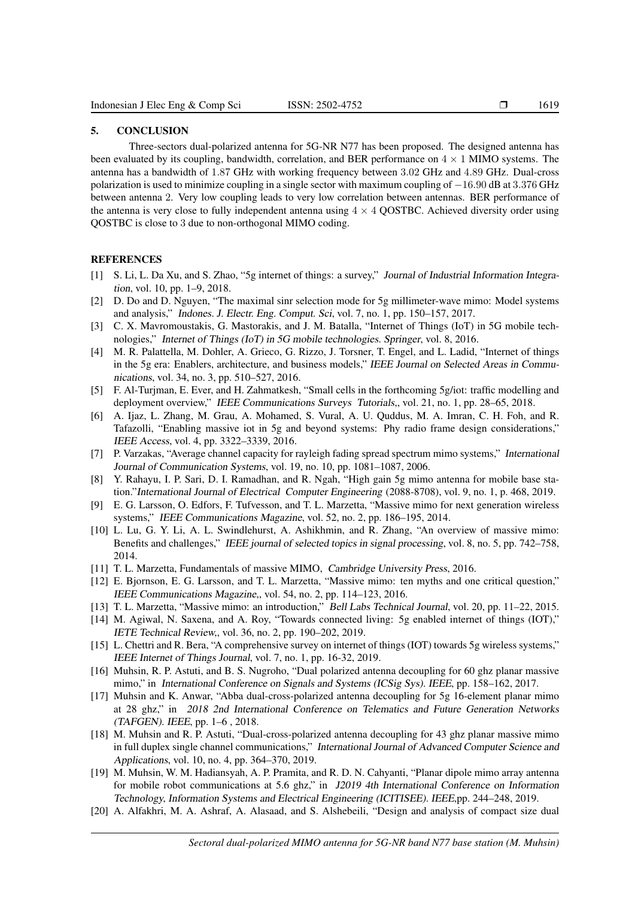#### 5. CONCLUSION

Three-sectors dual-polarized antenna for 5G-NR N77 has been proposed. The designed antenna has been evaluated by its coupling, bandwidth, correlation, and BER performance on  $4 \times 1$  MIMO systems. The antenna has a bandwidth of 1.87 GHz with working frequency between 3.02 GHz and 4.89 GHz. Dual-cross polarization is used to minimize coupling in a single sector with maximum coupling of −16.90 dB at 3.376 GHz between antenna 2. Very low coupling leads to very low correlation between antennas. BER performance of the antenna is very close to fully independent antenna using  $4 \times 4$  QOSTBC. Achieved diversity order using QOSTBC is close to 3 due to non-orthogonal MIMO coding.

## **REFERENCES**

- [1] S. Li, L. Da Xu, and S. Zhao, "5g internet of things: a survey," Journal of Industrial Information Integration, vol. 10, pp. 1–9, 2018.
- [2] D. Do and D. Nguyen, "The maximal sinr selection mode for 5g millimeter-wave mimo: Model systems and analysis," Indones. J. Electr. Eng. Comput. Sci, vol. 7, no. 1, pp. 150–157, 2017.
- [3] C. X. Mavromoustakis, G. Mastorakis, and J. M. Batalla, "Internet of Things (IoT) in 5G mobile technologies," Internet of Things (IoT) in 5G mobile technologies. Springer, vol. 8, 2016.
- [4] M. R. Palattella, M. Dohler, A. Grieco, G. Rizzo, J. Torsner, T. Engel, and L. Ladid, "Internet of things in the 5g era: Enablers, architecture, and business models," IEEE Journal on Selected Areas in Communications, vol. 34, no. 3, pp. 510–527, 2016.
- [5] F. Al-Turjman, E. Ever, and H. Zahmatkesh, "Small cells in the forthcoming 5g/iot: traffic modelling and deployment overview," IEEE Communications Surveys Tutorials,, vol. 21, no. 1, pp. 28–65, 2018.
- [6] A. Ijaz, L. Zhang, M. Grau, A. Mohamed, S. Vural, A. U. Quddus, M. A. Imran, C. H. Foh, and R. Tafazolli, "Enabling massive iot in 5g and beyond systems: Phy radio frame design considerations," IEEE Access, vol. 4, pp. 3322–3339, 2016.
- [7] P. Varzakas, "Average channel capacity for rayleigh fading spread spectrum mimo systems," International Journal of Communication Systems, vol. 19, no. 10, pp. 1081–1087, 2006.
- [8] Y. Rahayu, I. P. Sari, D. I. Ramadhan, and R. Ngah, "High gain 5g mimo antenna for mobile base station."International Journal of Electrical Computer Engineering (2088-8708), vol. 9, no. 1, p. 468, 2019.
- [9] E. G. Larsson, O. Edfors, F. Tufvesson, and T. L. Marzetta, "Massive mimo for next generation wireless systems," IEEE Communications Magazine, vol. 52, no. 2, pp. 186–195, 2014.
- [10] L. Lu, G. Y. Li, A. L. Swindlehurst, A. Ashikhmin, and R. Zhang, "An overview of massive mimo: Benefits and challenges," IEEE journal of selected topics in signal processing, vol. 8, no. 5, pp. 742–758, 2014.
- [11] T. L. Marzetta, Fundamentals of massive MIMO, Cambridge University Press, 2016.
- [12] E. Biornson, E. G. Larsson, and T. L. Marzetta, "Massive mimo: ten myths and one critical question," IEEE Communications Magazine,, vol. 54, no. 2, pp. 114–123, 2016.
- [13] T. L. Marzetta, "Massive mimo: an introduction," Bell Labs Technical Journal, vol. 20, pp. 11–22, 2015.
- [14] M. Agiwal, N. Saxena, and A. Roy, "Towards connected living: 5g enabled internet of things (IOT)," IETE Technical Review,, vol. 36, no. 2, pp. 190–202, 2019.
- [15] L. Chettri and R. Bera, "A comprehensive survey on internet of things (IOT) towards 5g wireless systems," IEEE Internet of Things Journal, vol. 7, no. 1, pp. 16-32, 2019.
- [16] Muhsin, R. P. Astuti, and B. S. Nugroho, "Dual polarized antenna decoupling for 60 ghz planar massive mimo," in International Conference on Signals and Systems (ICSig Sys). IEEE, pp. 158–162, 2017.
- [17] Muhsin and K. Anwar, "Abba dual-cross-polarized antenna decoupling for 5g 16-element planar mimo at 28 ghz," in 2018 2nd International Conference on Telematics and Future Generation Networks (TAFGEN). IEEE, pp. 1–6 , 2018.
- [18] M. Muhsin and R. P. Astuti, "Dual-cross-polarized antenna decoupling for 43 ghz planar massive mimo in full duplex single channel communications," International Journal of Advanced Computer Science and Applications, vol. 10, no. 4, pp. 364–370, 2019.
- [19] M. Muhsin, W. M. Hadiansyah, A. P. Pramita, and R. D. N. Cahyanti, "Planar dipole mimo array antenna for mobile robot communications at 5.6 ghz," in J2019 4th International Conference on Information Technology, Information Systems and Electrical Engineering (ICITISEE). IEEE,pp. 244–248, 2019.
- [20] A. Alfakhri, M. A. Ashraf, A. Alasaad, and S. Alshebeili, "Design and analysis of compact size dual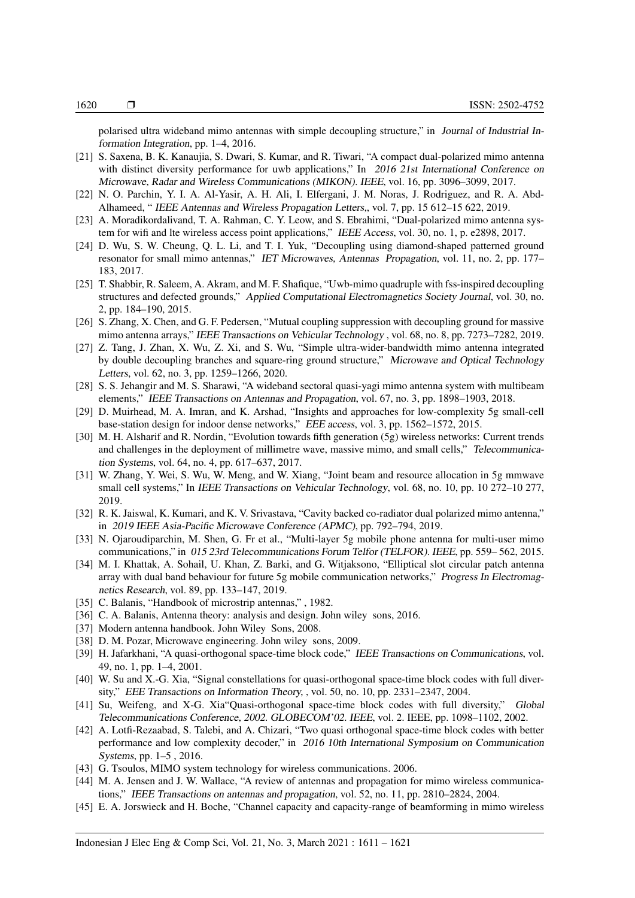polarised ultra wideband mimo antennas with simple decoupling structure," in Journal of Industrial Information Integration, pp. 1–4, 2016.

- [21] S. Saxena, B. K. Kanaujia, S. Dwari, S. Kumar, and R. Tiwari, "A compact dual-polarized mimo antenna with distinct diversity performance for uwb applications," In 2016 21st International Conference on Microwave, Radar and Wireless Communications (MIKON). IEEE, vol. 16, pp. 3096–3099, 2017.
- [22] N. O. Parchin, Y. I. A. Al-Yasir, A. H. Ali, I. Elfergani, J. M. Noras, J. Rodriguez, and R. A. Abd-Alhameed, " IEEE Antennas and Wireless Propagation Letters,, vol. 7, pp. 15 612–15 622, 2019.
- [23] A. Moradikordalivand, T. A. Rahman, C. Y. Leow, and S. Ebrahimi, "Dual-polarized mimo antenna system for wifi and lte wireless access point applications," IEEE Access, vol. 30, no. 1, p. e2898, 2017.
- [24] D. Wu, S. W. Cheung, Q. L. Li, and T. I. Yuk, "Decoupling using diamond-shaped patterned ground resonator for small mimo antennas," IET Microwaves, Antennas Propagation, vol. 11, no. 2, pp. 177– 183, 2017.
- [25] T. Shabbir, R. Saleem, A. Akram, and M. F. Shafique, "Uwb-mimo quadruple with fss-inspired decoupling structures and defected grounds," Applied Computational Electromagnetics Society Journal, vol. 30, no. 2, pp. 184–190, 2015.
- [26] S. Zhang, X. Chen, and G. F. Pedersen, "Mutual coupling suppression with decoupling ground for massive mimo antenna arrays," IEEE Transactions on Vehicular Technology , vol. 68, no. 8, pp. 7273–7282, 2019.
- [27] Z. Tang, J. Zhan, X. Wu, Z. Xi, and S. Wu, "Simple ultra-wider-bandwidth mimo antenna integrated by double decoupling branches and square-ring ground structure," Microwave and Optical Technology Letters, vol. 62, no. 3, pp. 1259–1266, 2020.
- [28] S. S. Jehangir and M. S. Sharawi, "A wideband sectoral quasi-yagi mimo antenna system with multibeam elements," IEEE Transactions on Antennas and Propagation, vol. 67, no. 3, pp. 1898–1903, 2018.
- [29] D. Muirhead, M. A. Imran, and K. Arshad, "Insights and approaches for low-complexity 5g small-cell base-station design for indoor dense networks," EEE access, vol. 3, pp. 1562–1572, 2015.
- [30] M. H. Alsharif and R. Nordin, "Evolution towards fifth generation (5g) wireless networks: Current trends and challenges in the deployment of millimetre wave, massive mimo, and small cells," Telecommunication Systems, vol. 64, no. 4, pp. 617–637, 2017.
- [31] W. Zhang, Y. Wei, S. Wu, W. Meng, and W. Xiang, "Joint beam and resource allocation in 5g mmwave small cell systems," In IEEE Transactions on Vehicular Technology, vol. 68, no. 10, pp. 10 272–10 277, 2019.
- [32] R. K. Jaiswal, K. Kumari, and K. V. Srivastava, "Cavity backed co-radiator dual polarized mimo antenna," in 2019 IEEE Asia-Pacific Microwave Conference (APMC), pp. 792–794, 2019.
- [33] N. Ojaroudiparchin, M. Shen, G. Fr et al., "Multi-layer 5g mobile phone antenna for multi-user mimo communications," in 015 23rd Telecommunications Forum Telfor (TELFOR). IEEE, pp. 559– 562, 2015.
- [34] M. I. Khattak, A. Sohail, U. Khan, Z. Barki, and G. Witjaksono, "Elliptical slot circular patch antenna array with dual band behaviour for future 5g mobile communication networks," Progress In Electromagnetics Research, vol. 89, pp. 133–147, 2019.
- [35] C. Balanis, "Handbook of microstrip antennas,", 1982.
- [36] C. A. Balanis, Antenna theory: analysis and design. John wiley sons, 2016.
- [37] Modern antenna handbook. John Wiley Sons, 2008.
- [38] D. M. Pozar, Microwave engineering. John wiley sons, 2009.
- [39] H. Jafarkhani, "A quasi-orthogonal space-time block code," IEEE Transactions on Communications, vol. 49, no. 1, pp. 1–4, 2001.
- [40] W. Su and X.-G. Xia, "Signal constellations for quasi-orthogonal space-time block codes with full diversity," EEE Transactions on Information Theory, , vol. 50, no. 10, pp. 2331–2347, 2004.
- [41] Su, Weifeng, and X-G. Xia"Quasi-orthogonal space-time block codes with full diversity," Global Telecommunications Conference, 2002. GLOBECOM'02. IEEE, vol. 2. IEEE, pp. 1098–1102, 2002.
- [42] A. Lotfi-Rezaabad, S. Talebi, and A. Chizari, "Two quasi orthogonal space-time block codes with better performance and low complexity decoder," in 2016 10th International Symposium on Communication Systems, pp. 1–5 , 2016.
- [43] G. Tsoulos, MIMO system technology for wireless communications. 2006.
- [44] M. A. Jensen and J. W. Wallace, "A review of antennas and propagation for mimo wireless communications," IEEE Transactions on antennas and propagation, vol. 52, no. 11, pp. 2810–2824, 2004.
- [45] E. A. Jorswieck and H. Boche, "Channel capacity and capacity-range of beamforming in mimo wireless